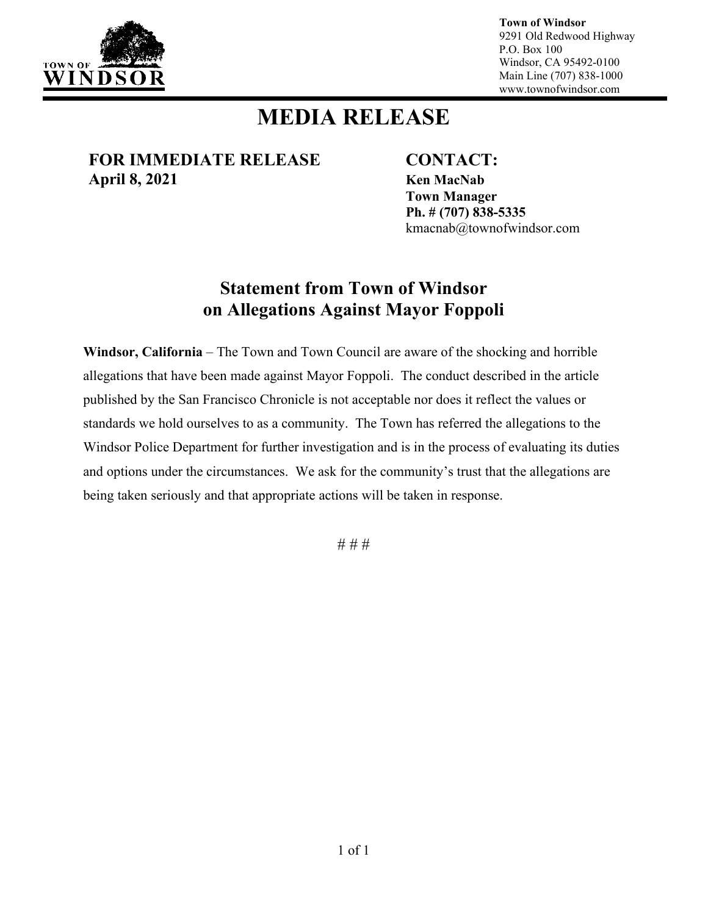

**Town of Windsor** 9291 Old Redwood Highway P.O. Box 100 Windsor, CA 95492-0100 Main Line (707) 838-1000 www.townofwindsor.com

## **MEDIA RELEASE**

**FOR IMMEDIATE RELEASE CONTACT: April 8, 2021 Ken MacNab**

**Town Manager Ph. # (707) 838-5335** kmacnab@townofwindsor.com

## **Statement from Town of Windsor on Allegations Against Mayor Foppoli**

**Windsor, California** – The Town and Town Council are aware of the shocking and horrible allegations that have been made against Mayor Foppoli. The conduct described in the article published by the San Francisco Chronicle is not acceptable nor does it reflect the values or standards we hold ourselves to as a community. The Town has referred the allegations to the Windsor Police Department for further investigation and is in the process of evaluating its duties and options under the circumstances. We ask for the community's trust that the allegations are being taken seriously and that appropriate actions will be taken in response.

# # #